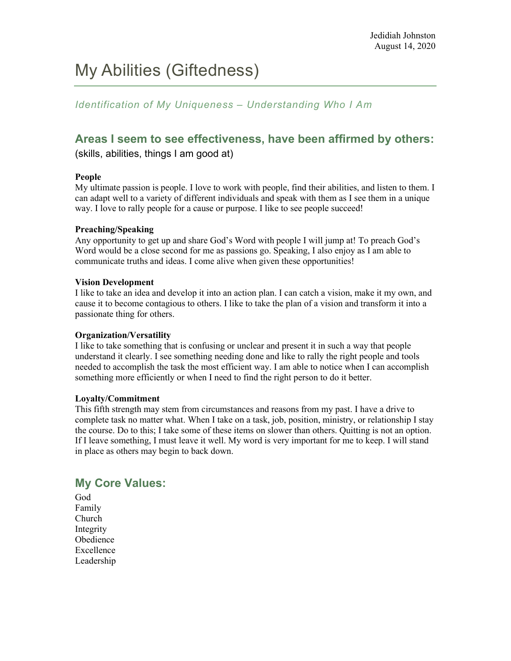# My Abilities (Giftedness)

#### *Identification of My Uniqueness – Understanding Who I Am*

### **Areas I seem to see effectiveness, have been affirmed by others:**

(skills, abilities, things I am good at)

#### **People**

My ultimate passion is people. I love to work with people, find their abilities, and listen to them. I can adapt well to a variety of different individuals and speak with them as I see them in a unique way. I love to rally people for a cause or purpose. I like to see people succeed!

#### **Preaching/Speaking**

Any opportunity to get up and share God's Word with people I will jump at! To preach God's Word would be a close second for me as passions go. Speaking, I also enjoy as I am able to communicate truths and ideas. I come alive when given these opportunities!

#### **Vision Development**

I like to take an idea and develop it into an action plan. I can catch a vision, make it my own, and cause it to become contagious to others. I like to take the plan of a vision and transform it into a passionate thing for others.

#### **Organization/Versatility**

I like to take something that is confusing or unclear and present it in such a way that people understand it clearly. I see something needing done and like to rally the right people and tools needed to accomplish the task the most efficient way. I am able to notice when I can accomplish something more efficiently or when I need to find the right person to do it better.

#### **Loyalty/Commitment**

This fifth strength may stem from circumstances and reasons from my past. I have a drive to complete task no matter what. When I take on a task, job, position, ministry, or relationship I stay the course. Do to this; I take some of these items on slower than others. Quitting is not an option. If I leave something, I must leave it well. My word is very important for me to keep. I will stand in place as others may begin to back down.

### **My Core Values:**

God Family Church Integrity Obedience Excellence Leadership